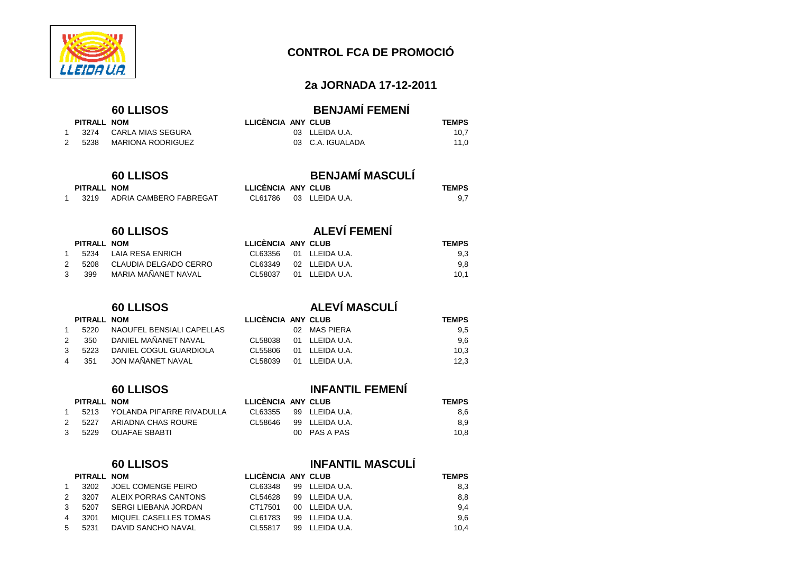

 $PITRALL$  **NOM** 

# **CONTROL FCA DE PROMOCIÓ**

### **2a JORNADA 17-12-2011**

1 3274 CARLA MIAS SEGURA 2 5238 MARIONA RODRIGUEZ

### **60 LLISOS BENJAMÍ FEMENÍ**

| LLICÈNCIA ANY CLUB |                  | <b>TEMPS</b> |
|--------------------|------------------|--------------|
|                    | 03 LLEIDA U.A.   | 10.7         |
|                    | 03 C.A. IGUALADA | 11.0         |

# **60 LLISOS BENJAMÍ MASCULÍ**

| PITRALL NOM |                        | LLICÈNCIA ANY CLUB     | <b>TEMPS</b> |
|-------------|------------------------|------------------------|--------------|
| 3219        | ADRIA CAMBERO FABREGAT | CL61786 03 LLEIDA U.A. | 9.7          |

# **60 LLISOS ALEVÍ FEMENÍ**

|   | PITRALL NOM |                              | LLICENCIA ANY CLUB |                       | <b>TEMPS</b> |  |
|---|-------------|------------------------------|--------------------|-----------------------|--------------|--|
|   |             | 5234 LAIA RESA ENRICH        |                    | CL63356 01 LLEIDAU.A. | 9.3          |  |
|   |             | 2 5208 CLAUDIA DELGADO CERRO | CI 63349           | 02 LLEIDA U.A.        | 9.8          |  |
| 3 | 399         | MARIA MAÑANET NAVAL          | CL58037            | 01 LLEIDA U.A.        | 10.1         |  |

# **60 LLISOS ALEVÍ MASCULÍ**

|   | PITRALL NOM |                           | LLICÈNCIA ANY CLUB |                | <b>TEMPS</b> |
|---|-------------|---------------------------|--------------------|----------------|--------------|
|   | 5220        | NAOUFEL BENSIALI CAPELLAS |                    | 02 MAS PIERA   | 9,5          |
|   | 350         | DANIEL MAÑANET NAVAL      | CL58038            | 01 LLEIDA U.A. | 9,6          |
| 3 | 5223        | DANIEL COGUL GUARDIOLA    | CL55806            | 01 LLEIDA U.A. | 10.3         |
|   | 351         | JON MAÑANET NAVAL         | CL 58039           | 01 LLEIDA U.A. | 12.3         |

### **60 LLISOS INFANTIL FEMENÍ**

| <b>TEMPS</b> |
|--------------|
|              |

### <sup>1</sup> 5213 YOLANDA PIFARRE RIVADULLA CL63355 99 LLEIDA U.A. 8,62 5227 ARIADNA CHAS ROURE CL58646 99 LLEIDA U.A.

# 3 5229 OUAFAE SBABTI 00 PAS A PAS

# **60 LLISOS INFANTIL MASCULÍ**

8,9

 $10,8$ 

|   | PITRALL NOM |                       | LLICÈNCIA ANY CLUB |                | <b>TEMPS</b> |  |
|---|-------------|-----------------------|--------------------|----------------|--------------|--|
|   | 3202        | JOEL COMENGE PEIRO    | CL63348            | 99 LLEIDA U.A. | 8,3          |  |
|   | 3207        | ALEIX PORRAS CANTONS  | CL54628            | 99 LLEIDA U.A. | 8,8          |  |
|   | 5207        | SERGI LIEBANA JORDAN  | CT17501            | 00 LLEIDA U.A. | 9,4          |  |
|   | 3201        | MIQUEL CASELLES TOMAS | CL61783            | 99 LLEIDA U.A. | 9,6          |  |
| 5 | 5231        | DAVID SANCHO NAVAL    | CL55817            | 99 LLEIDA U.A. | 10.4         |  |
|   |             |                       |                    |                |              |  |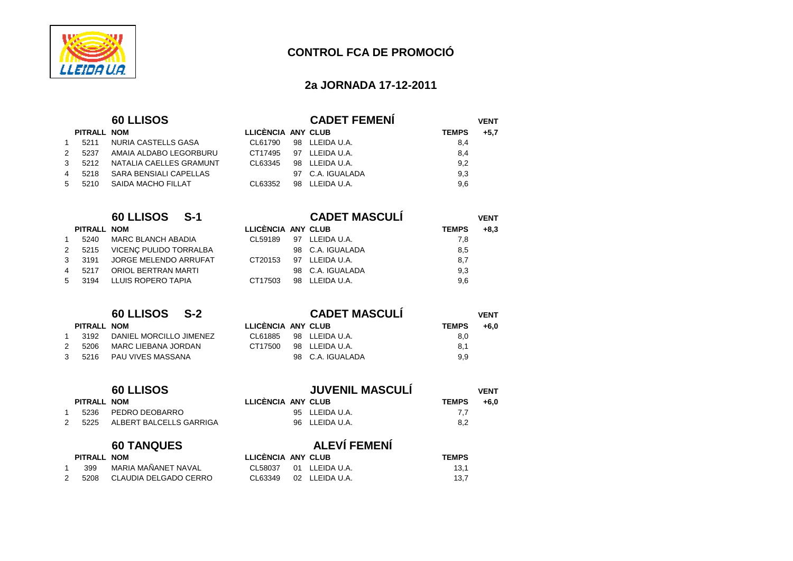

### **2a JORNADA 17-12-2011**

|    | PITRALL NOM |                         |
|----|-------------|-------------------------|
| 1  | 5211        | NURIA CASTELLS GASA     |
| 2  | 5237        | AMAIA ALDABO LEGORBURU  |
| 3  | 5212        | NATALIA CAELLES GRAMUNT |
| 4  | 5218        | SARA BENSIALI CAPELLAS  |
| -5 | 5210        | SAIDA MACHO FILLAT      |

|    | .    |                              |
|----|------|------------------------------|
| 1  | 5240 | <b>MARC BLANCH ABADIA</b>    |
| 2  | 5215 | VICENÇ PULIDO TORRALBA       |
| 3  | 3191 | <b>JORGE MELENDO ARRUFAT</b> |
| 4  | 5217 | ORIOL BERTRAN MARTI          |
| .5 | 3194 | LLUIS ROPERO TAPIA           |
|    |      |                              |

| <b>PIIRALL NOM</b> |                                |  |
|--------------------|--------------------------------|--|
|                    | 1 3192 DANIEL MORCILLO JIMENEZ |  |
| 2 5206             | MARC LIEBANA JORDAN            |  |
|                    | 3 5216 PAU VIVES MASSANA       |  |

| <b>60 LLISOS</b> |  |
|------------------|--|
| .                |  |

# 1 5236 PEDRO DEOBARRO

2 5225 ALBERT BALCELLS GARRIGA

|               | PITRALL NOM |                       | LLICI           |
|---------------|-------------|-----------------------|-----------------|
| $\mathbf{1}$  | 399         | MARIA MAÑANET NAVAL   | CL <sub>5</sub> |
| $\mathcal{P}$ | 5208        | CLAUDIA DELGADO CERRO | CL <sub>6</sub> |

|   |             | <b>60 LLISOS</b>        |                    |    | <b>CADET FEMENI</b> |              | <b>VENT</b> |
|---|-------------|-------------------------|--------------------|----|---------------------|--------------|-------------|
|   | PITRALL NOM |                         | LLICÈNCIA ANY CLUB |    |                     | <b>TEMPS</b> | $+5.7$      |
|   | 5211        | NURIA CASTELLS GASA     | CL61790            | 98 | LLEIDA U.A.         | 8,4          |             |
|   | 5237        | AMAIA ALDABO LEGORBURU  | CT17495            | 97 | LLEIDA U.A.         | 8,4          |             |
| 3 | 5212        | NATALIA CAELLES GRAMUNT | CL63345            |    | 98 LLEIDA U.A.      | 9,2          |             |
|   | 5218        | SARA BENSIALI CAPELLAS  |                    | 97 | C.A. IGUALADA       | 9,3          |             |
|   | 5210        | SAIDA MACHO FILLAT      | CL63352            | 98 | LLEIDA U.A.         | 9,6          |             |

|     |             | 60 LLISOS S-1              |                    | <b>CADET MASCULÍ</b> |              | <b>VENT</b> |
|-----|-------------|----------------------------|--------------------|----------------------|--------------|-------------|
|     | PITRALL NOM |                            | LLICÈNCIA ANY CLUB |                      | <b>TEMPS</b> | $+8.3$      |
|     | 5240        | <b>MARC BLANCH ABADIA</b>  | CL59189            | 97 LLEIDA U.A.       | 7,8          |             |
|     | 5215        | VICENC PULIDO TORRALBA     |                    | 98 C.A. IGUALADA     | 8,5          |             |
| 3   | 3191        | JORGE MELENDO ARRUFAT      | CT20153            | 97 LLEIDA U.A.       | 8,7          |             |
| 4   | 5217        | <b>ORIOL BERTRAN MARTI</b> |                    | 98 C.A. IGUALADA     | 9,3          |             |
| 5 — | 3194        | LLUIS ROPERO TAPIA         | CT17503            | 98 LLEIDA U.A.       | 9,6          |             |
|     |             |                            |                    |                      |              |             |

|             | 60 LLISOS S-2           |                    | <b>CADET MASCULI</b> |              | <b>VENT</b> |  |
|-------------|-------------------------|--------------------|----------------------|--------------|-------------|--|
| PITRALL NOM |                         | LLICÈNCIA ANY CLUB |                      | <b>TEMPS</b> | $+6.0$      |  |
| 3192        | DANIEL MORCILLO JIMENEZ | CL61885            | 98 LLEIDA U.A.       | 8,0          |             |  |
| 5206        | MARC LIEBANA JORDAN     | CT17500            | 98 LLEIDA U.A.       | 8.1          |             |  |
|             | 5216 PAU VIVES MASSANA  |                    | 98 C.A. IGUALADA     | 9,9          |             |  |

|             | <b>60 LLISOS</b>        |                    | <b>JUVENIL MASCULÍ</b> |              | <b>VENT</b> |  |
|-------------|-------------------------|--------------------|------------------------|--------------|-------------|--|
| PITRALL NOM |                         | LLICÈNCIA ANY CLUB |                        | <b>TEMPS</b> | $+6.0$      |  |
| 5236        | PEDRO DEOBARRO          |                    | 95 LLEIDA U.A.         | 7.7          |             |  |
| 5225        | ALBERT BALCELLS GARRIGA |                    | 96 LLEIDA U.A.         | 8.2          |             |  |
|             |                         |                    |                        |              |             |  |

# **60 TANQUES ALEVÍ FEMENÍ**

| PITRALL NOM |                       | LLICENCIA ANY CLUB |                | <b>TEMPS</b> |
|-------------|-----------------------|--------------------|----------------|--------------|
| 399         | MARIA MAÑANET NAVAL   | CL58037            | 01 LLEIDA U.A. | 13.1         |
| 5208        | CLAUDIA DELGADO CERRO | CL63349            | 02 LLEIDA U.A. | 13.7         |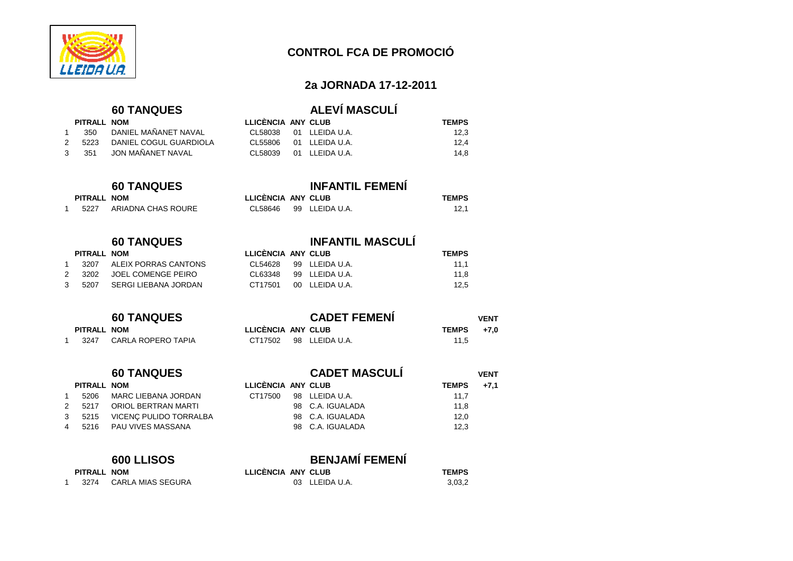

### **2a JORNADA 17-12-2011**

 $11,8$ 

 $12,5$ 

### **60 TANQUES ALEVÍ MASCULÍ**

|               | PITRALL NOM |                          | LLICÈNCIA ANY CLUB |                       | <b>TEMPS</b> |
|---------------|-------------|--------------------------|--------------------|-----------------------|--------------|
|               |             | 350 DANIEL MAÑANET NAVAL |                    | CL58038 01 LLEIDAU.A. | 12.3         |
| $\mathcal{P}$ | 5223        | DANIEL COGUL GUARDIOLA   |                    | CL55806 01 LLEIDAU.A. | 12.4         |
|               | 3, 351      | JON MAÑANET NAVAL        |                    | CL58039 01 LLEIDAU.A. | 14.8         |

# **60 TANQUES INFANTIL FEMENÍ**

| PITRALL NOM |                    | LLICÈNCIA ANY CLUB     | <b>TEMPS</b> |
|-------------|--------------------|------------------------|--------------|
| 5227        | ARIADNA CHAS ROURE | CL58646 99 LLEIDA U.A. | 12.1         |

**PITRALL NOM LLICÈNCIA ANY CLUB TEMPS**  CL54628 99 LLEIDA U.A. 11,1

|             | <b>60 TANQUES</b> |                    | <b>INFANTIL MASCULI</b> |
|-------------|-------------------|--------------------|-------------------------|
| PITRALL NOM |                   | LLICÈNCIA ANY CLUB |                         |

|   | 1 3207 | ALEIX PORRAS CANTONS |
|---|--------|----------------------|
| 2 | 3202   | JOEL COMENGE PEIRO   |
| 3 | 5207   | SERGI LIEBANA JORDAN |

### **60 TANQUES CADET FEMENÍ VENT**

|             | -- - - - - - - - - |                    | _ _ _                  |              | .    |
|-------------|--------------------|--------------------|------------------------|--------------|------|
| PITRALL NOM |                    | LLICÈNCIA ANY CLUB |                        | <b>TEMPS</b> | +7.0 |
| 3247        | CARLA ROPERO TAPIA |                    | CT17502 98 LLEIDA U.A. | 11,5         |      |

CL63348 99 LLEIDA U.A.

CT17501 00 LLEIDA U.A.

|                |             | <b>60 TANQUES</b>      |                    | <b>CADET MASCULÍ</b> |              | <b>VENT</b> |
|----------------|-------------|------------------------|--------------------|----------------------|--------------|-------------|
|                | PITRALL NOM |                        | LLICÈNCIA ANY CLUB |                      | <b>TEMPS</b> | $+7.1$      |
|                | 5206        | MARC LIEBANA JORDAN    | CT17500            | 98 LLEIDA U.A.       | 11.7         |             |
| 2              | 5217        | ORIOL BERTRAN MARTI    |                    | 98 C.A. IGUALADA     | 11,8         |             |
| 3              | 5215        | VICENC PULIDO TORRALBA |                    | 98 C.A. IGUALADA     | 12,0         |             |
| $\overline{4}$ | 5216        | PAU VIVES MASSANA      |                    | 98 C.A. IGUALADA     | 12,3         |             |

| <b>600 LLISOS</b> |             |                   |                    | <b>BENJAMÍ FEMENÍ</b> |  |              |  |  |
|-------------------|-------------|-------------------|--------------------|-----------------------|--|--------------|--|--|
|                   | PITRALL NOM |                   | LLICÈNCIA ANY CLUB |                       |  | <b>TEMPS</b> |  |  |
|                   | 3274        | CARLA MIAS SEGURA |                    | 03 LLEIDA U.A.        |  | 3,03,2       |  |  |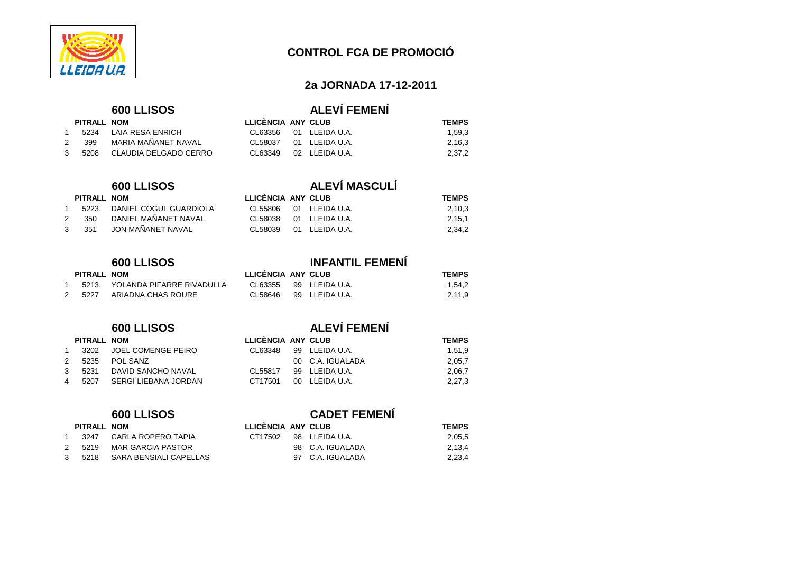

### **2a JORNADA 17-12-2011**

2,16,3

2,37,2

2,11,9

# **600 LLISOS ALEVÍ FEMENÍ**

**PITRALL NOM LLICÈNCIA ANY CLUB TEMPS**  CL63356 01 LLEIDA U.A. 1,59,3

| PITRALL NOM |                              |
|-------------|------------------------------|
|             | 1 5234 LAIA RESA ENRICH      |
| 2 399       | MARIA MAÑANET NAVAL          |
|             | 3 5208 CLAUDIA DELGADO CERRO |

### **600 LLISOS ALEVÍ MASCULÍ**

|               | PITRALL NOM |                          | LLICÈNCIA ANY CLUB        |  | <b>TEMPS</b> |
|---------------|-------------|--------------------------|---------------------------|--|--------------|
|               | 5223        | DANIEL COGUL GUARDIOLA   | CL55806 01 LLEIDAU.A.     |  | 2,10,3       |
| $\mathcal{P}$ |             | 350 DANIEL MAÑANET NAVAL | CL58038 01 LLEIDA U.A.    |  | 2,15,1       |
|               | 3, 351      | JON MAÑANET NAVAL        | $CI$ 58039 01 I FIDA U.A. |  | 2,34,2       |

CL58037 01 LLEIDA U.A.

CL63349 02 LLEIDA U.A.

# **600 LLISOS INFANTIL FEMENÍ** <sup>1</sup> 5213 YOLANDA PIFARRE RIVADULLA CL63355 99 LLEIDA U.A. 1,54,22 5227 ARIADNA CHAS ROURE CL58646 99 LLEIDA U.A.

|               | PITRALL NOM |                           | <b>LLICENCIA</b> |
|---------------|-------------|---------------------------|------------------|
| 1             |             | 3202 JOEL COMENGE PEIRO   | CL63348          |
| $\mathcal{P}$ |             | 5235 POL SANZ             |                  |
| $\mathcal{R}$ |             | 5231 DAVID SANCHO NAVAL   | CL55817          |
| 4             |             | 5207 SERGI LIEBANA JORDAN | CT17501          |

| PITRALL NOM |  |
|-------------|--|
|-------------|--|

|               | .3247 | - CARLA ROPERO TAPIA     |
|---------------|-------|--------------------------|
| $\mathcal{P}$ | 5219  | <b>MAR GARCIA PASTOR</b> |
| 3             | 5218  | SARA BENSIALI CAPELLAS   |

# **600 LLISOS ALEVÍ FEMENÍ**

**PITRALL NOM LLICÈNCIA ANY CLUB TEMPS** 

| PITRALL NOM |                      | LLICÈNCIA ANY CLUB |                  | <b>TEMPS</b> |
|-------------|----------------------|--------------------|------------------|--------------|
| 3202        | JOEL COMENGE PEIRO   | CL 63348           | 99 LLEIDA U.A.   | 1.51.9       |
| 5235        | POL SANZ             |                    | 00 C.A. IGUALADA | 2,05,7       |
| 5231        | DAVID SANCHO NAVAL   | CI 55817           | 99 LLEIDA U.A.   | 2,06,7       |
| 5207        | SERGI LIEBANA JORDAN | CT17501            | 00 LLEIDA U.A.   | 2,27,3       |
|             |                      |                    |                  |              |

# **600 LLISOS CADET FEMENÍ**

|   | PITRALL NOM |                        | LLICENCIA ANY CLUB |                  | <b>TEMPS</b> |
|---|-------------|------------------------|--------------------|------------------|--------------|
|   | 3247        | CARLA ROPERO TAPIA     | CT17502            | 98 LLEIDA U.A.   | 2,05,5       |
| 2 | 5219        | MAR GARCIA PASTOR      |                    | 98 C.A. IGUALADA | 2.13.4       |
| 3 | 5218        | SARA BENSIALI CAPELLAS |                    | 97 C.A. IGUALADA | 2.23.4       |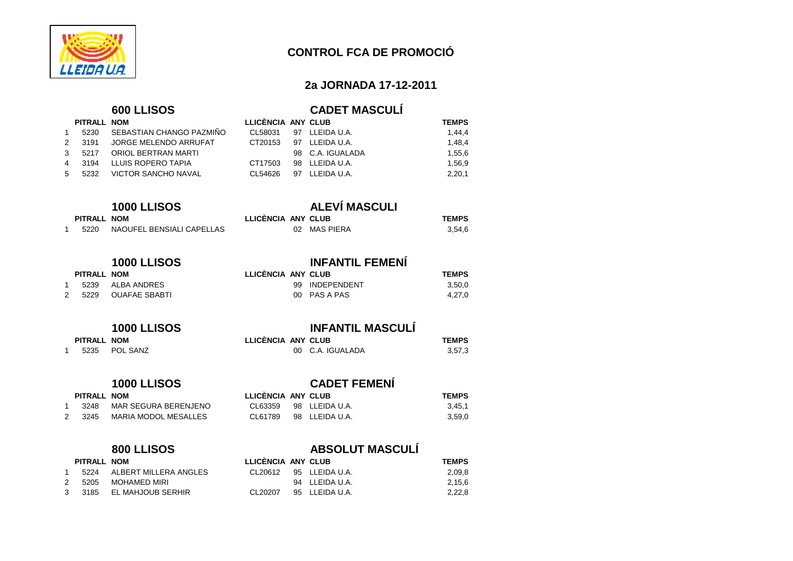

### **2a JORNADA 17-12-2011**

1,48,4

1,55,6

1,56,9

 $2,20,1$ 

3,59,0

### **600 LLISOS CADET MASCULÍ PITRALL NOM LLICÈNCIA ANY CLUB TEMPS**

CL58031 97 LLEIDA U.A. 1,44,4

**PITRALL NOM LLICÈNCIA ANY CLUB TEMPS** 

**PITRALL NOM LLICÈNCIA ANY CLUB TEMPS** 

| 5230 | SEBASTIAN CHANGO PAZMIÑO |
|------|--------------------------|
| 3191 | JORGE MELENDO ARRUFAT    |
| 5217 | ORIOL BERTRAN MARTI      |
| 3194 | LLUIS ROPERO TAPIA       |
|      | 5232 VICTOR SANCHO NAVAL |
|      | <b>PITRALL NOM</b>       |

### **1000 LLISOS ALEVÍ MASCULI**

| PITRALL NOM |  |
|-------------|--|
|-------------|--|

<sup>1</sup> 5220 NAOUFEL BENSIALI CAPELLAS 02 MAS PIERA 3,54,6

# **1000 LLISOS INFANTIL FEMENÍ**

|   | 5239 | ALBA ANDRES          |
|---|------|----------------------|
| 2 | 5229 | <b>OUAFAE SBABTI</b> |

### 99 INDEPENDENT 3,50,0<br>00 PAS A PAS 4,27,0 00 PAS A PAS

98 C.A. IGUALADA

CT20153 97 LLEIDA U.A.

CT17503 98 LLEIDA U.A.

CL54626 97 LLEIDA U.A.

### **1000 LLISOS INFANTIL MASCULÍ**

**PITRALL NOM LLICÈNCIA ANY CLUB TEMPS** 

|        | LLICENCIA ANY CLUB |                  | <b>TEMPS</b> |
|--------|--------------------|------------------|--------------|
| –<br>∠ |                    | 00 C.A. IGUALADA | 3,57,3       |

# **1000 LLISOS**<br>**CADET FEMENÍ**<br> **CADET FEMENÍ**<br> **CADET FEMENÍ**

 $PITRALL$  **NOM** <sup>1</sup> 5235 POL SANZ

### <sup>1</sup> 3248 MAR SEGURA BERENJENO CL63359 98 LLEIDA U.A. 3,45,12 3245 MARIA MODOL MESALLES CL61789 98 LLEIDA U.A.

| PITRALL NOM |                              |
|-------------|------------------------------|
|             | 1 5224 ALBERT MILLERA ANGLES |
| 2 5205      | MOHAMED MIRI                 |
|             | 3 3185 EL MAHJOUB SERHIR     |

### **800 LLISOS ABSOLUT MASCULÍ**

|    | PITRALL NOM |                       | LLICENCIA ANY CLUB |                | <b>TEMPS</b> |
|----|-------------|-----------------------|--------------------|----------------|--------------|
|    | 5224        | ALBERT MILLERA ANGLES | CL 20612           | 95 LLEIDA U.A. | 2,09,8       |
| 2. | 5205        | MOHAMED MIRI          |                    | 94 LLEIDA U.A. | 2.15.6       |
| 3  | 3185        | EL MAHJOUB SERHIR     | CI 20207           | 95 LLEIDA U.A. | 2.22.8       |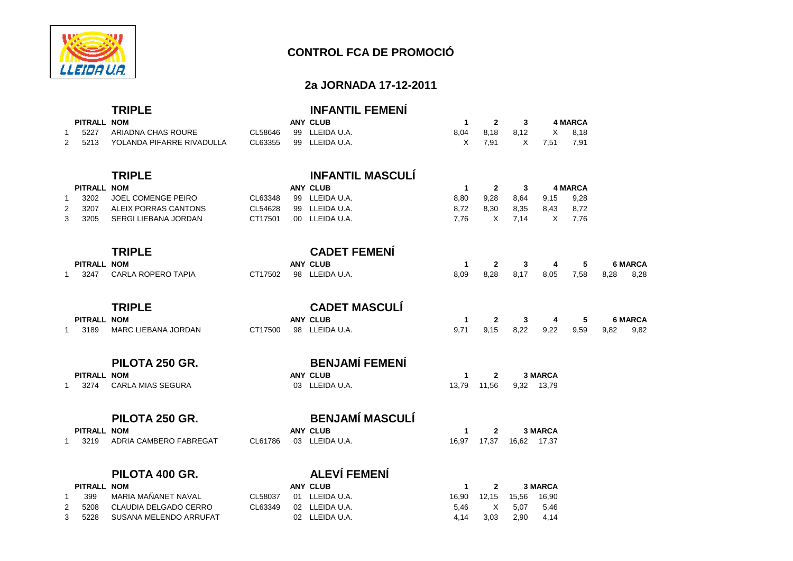

### **2a JORNADA 17-12-2011**

|              |                    | <b>TRIPLE</b>               |         | <b>INFANTIL FEMENÍ</b>  |              |              |       |                |                |      |                |
|--------------|--------------------|-----------------------------|---------|-------------------------|--------------|--------------|-------|----------------|----------------|------|----------------|
|              | <b>PITRALL NOM</b> |                             |         | <b>ANY CLUB</b>         | $\mathbf{1}$ | $\mathbf{2}$ | 3     |                | <b>4 MARCA</b> |      |                |
| -1           | 5227               | ARIADNA CHAS ROURE          | CL58646 | 99 LLEIDA U.A.          | 8,04         | 8,18         | 8,12  | Χ              | 8,18           |      |                |
| 2            | 5213               | YOLANDA PIFARRE RIVADULLA   | CL63355 | 99 LLEIDA U.A.          | X            | 7,91         | X     | 7,51           | 7,91           |      |                |
|              |                    | <b>TRIPLE</b>               |         | <b>INFANTIL MASCULÍ</b> |              |              |       |                |                |      |                |
|              | PITRALL NOM        |                             |         | <b>ANY CLUB</b>         | $\mathbf{1}$ | $\mathbf{2}$ | 3     |                | <b>4 MARCA</b> |      |                |
| $\mathbf{1}$ | 3202               | JOEL COMENGE PEIRO          | CL63348 | 99 LLEIDA U.A.          | 8,80         | 9,28         | 8,64  | 9,15           | 9,28           |      |                |
| 2            | 3207               | ALEIX PORRAS CANTONS        | CL54628 | 99 LLEIDA U.A.          | 8,72         | 8,30         | 8,35  | 8,43           | 8,72           |      |                |
| 3            | 3205               | <b>SERGI LIEBANA JORDAN</b> | CT17501 | 00 LLEIDA U.A.          | 7.76         | $\times$     | 7.14  | X              | 7,76           |      |                |
|              |                    | <b>TRIPLE</b>               |         | <b>CADET FEMENÍ</b>     |              |              |       |                |                |      |                |
|              | PITRALL NOM        |                             |         | <b>ANY CLUB</b>         | $\mathbf{1}$ | $\mathbf{2}$ | 3     | 4              | 5              |      | <b>6 MARCA</b> |
| 1            | 3247               | <b>CARLA ROPERO TAPIA</b>   | CT17502 | 98 LLEIDA U.A.          | 8,09         | 8,28         | 8,17  | 8,05           | 7,58           | 8,28 | 8,28           |
|              |                    | <b>TRIPLE</b>               |         | <b>CADET MASCULÍ</b>    |              |              |       |                |                |      |                |
|              | PITRALL NOM        |                             |         | <b>ANY CLUB</b>         | $\mathbf{1}$ | $\mathbf{2}$ | 3     | 4              | 5              |      | <b>6 MARCA</b> |
| 1            | 3189               | <b>MARC LIEBANA JORDAN</b>  | CT17500 | 98 LLEIDA U.A.          | 9.71         | 9,15         | 8,22  | 9,22           | 9,59           | 9.82 | 9,82           |
|              |                    | PILOTA 250 GR.              |         | <b>BENJAMÍ FEMENÍ</b>   |              |              |       |                |                |      |                |
|              | PITRALL NOM        |                             |         | <b>ANY CLUB</b>         | $\mathbf{1}$ | $\mathbf{2}$ |       | 3 MARCA        |                |      |                |
| $\mathbf{1}$ | 3274               | <b>CARLA MIAS SEGURA</b>    |         | 03 LLEIDA U.A.          | 13.79        | 11,56        |       | 9,32 13,79     |                |      |                |
|              |                    | PILOTA 250 GR.              |         | <b>BENJAMÍ MASCULÍ</b>  |              |              |       |                |                |      |                |
|              | PITRALL NOM        |                             |         | <b>ANY CLUB</b>         | $\mathbf{1}$ | $\mathbf{2}$ |       | <b>3 MARCA</b> |                |      |                |
| 1            | 3219               | ADRIA CAMBERO FABREGAT      | CL61786 | 03 LLEIDA U.A.          | 16,97        | 17,37        |       | 16,62 17,37    |                |      |                |
|              |                    | PILOTA 400 GR.              |         | <b>ALEVÍ FEMENÍ</b>     |              |              |       |                |                |      |                |
|              | PITRALL NOM        |                             |         | <b>ANY CLUB</b>         | $\mathbf{1}$ | $\mathbf{2}$ |       | <b>3 MARCA</b> |                |      |                |
| 1            | 399                | MARIA MAÑANET NAVAL         | CL58037 | 01 LLEIDA U.A.          | 16,90        | 12,15        | 15,56 | 16,90          |                |      |                |
| 2            | 5208               | CLAUDIA DELGADO CERRO       | CL63349 | 02 LLEIDA U.A.          | 5,46         | X            | 5,07  | 5,46           |                |      |                |
| 3            | 5228               | SUSANA MELENDO ARRUFAT      |         | 02 LLEIDA U.A.          | 4,14         | 3,03         | 2,90  | 4,14           |                |      |                |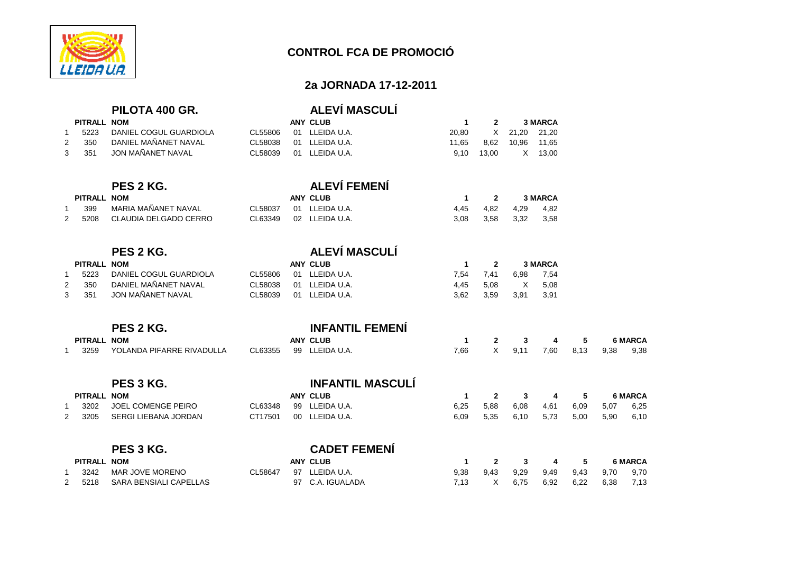

 $PITRAL$ 

# **CONTROL FCA DE PROMOCIÓ**

### **2a JORNADA 17-12-2011**

11,65

6,92 6,22 6,38 7,13

| PILOTA 400 GR. |  |  |
|----------------|--|--|
|----------------|--|--|

# **PILOTA 400 GR. ALEVÍ MASCULÍ**

| PITRALL NOM |                        |          | ANY CLUB       |       |            |                  | <b>3 MARCA</b> |
|-------------|------------------------|----------|----------------|-------|------------|------------------|----------------|
| 5223        | DANIEL COGUL GUARDIOLA | CL 55806 | 01 LLEIDA U.A. | 20.80 |            | X 21,20 21,20    |                |
| 350         | DANIEL MAÑANET NAVAL   | CL58038  | 01 LLEIDA U.A. | 11.65 |            | 8,62 10,96 11,65 |                |
| 351         | JON MAÑANET NAVAL      | CL58039  | 01 LLEIDA U.A. |       | 9.10 13.00 | X 13.00          |                |
|             |                        |          |                |       |            |                  |                |

# **PES 2 KG. ALEVÍ FEMENÍ**

|   | PITRALL NOM |                       |         | <b>ANY CLUB</b> |      |      |           | <b>3 MARCA</b> |
|---|-------------|-----------------------|---------|-----------------|------|------|-----------|----------------|
|   | 399         | MARIA MAÑANET NAVAL   | CL58037 | 01 LLEIDA U.A.  | 4.45 | 4.82 | 4.29      | 4.82           |
| 2 | 5208        | CLAUDIA DELGADO CERRO | CL63349 | 02 LLEIDA U.A.  | 3.08 | 3.58 | 3,32 3,58 |                |

# **PES 2 KG.**<br>**ALEVÍ MASCULÍ**<br>ANY CLUB

| PITRALL NOM |                        |          | ANY CLUB       |      | $\overline{\mathbf{2}}$ |        | <b>3 MARCA</b> |
|-------------|------------------------|----------|----------------|------|-------------------------|--------|----------------|
| 5223        | DANIEL COGUL GUARDIOLA | CL 55806 | 01 LLEIDA U.A. |      | 7.54 7.41               | 6.98   | 7,54           |
| 350         | DANIEL MAÑANET NAVAL   | CL58038  | 01 LLEIDA U.A. |      | 4.45 5.08               | X 5.08 |                |
| 351         | JON MAÑANET NAVAL      | CL58039  | 01 LLEIDA U.A. | 3.62 | 3.59                    | - 3.91 | -3,91          |

### **PES 2 KG. INFANTIL FEMENÍ**

| . |             |                           |  |                        |      |  |                  |     |      |                |
|---|-------------|---------------------------|--|------------------------|------|--|------------------|-----|------|----------------|
|   | PITRALL NOM |                           |  | ANY CLUB               |      |  | $\frac{3}{4}$    | - 5 |      | <b>6 MARCA</b> |
|   | 3259        | YOLANDA PIFARRE RIVADULLA |  | CL63355 99 LLEIDA U.A. | 7.66 |  | X 9,11 7,60 8,13 |     | 9.38 | 9,38           |

|   |             | PES 3 KG.            |         |    | <b>INFANTIL MASCULI</b> |      |      |      |      |      |      |                |
|---|-------------|----------------------|---------|----|-------------------------|------|------|------|------|------|------|----------------|
|   | PITRALL NOM |                      |         |    | <b>ANY CLUB</b>         |      |      |      | 4    | 5.   |      | <b>6 MARCA</b> |
|   | 3202        | JOEL COMENGE PEIRO   | CL63348 | 99 | LLEIDA U.A.             | 6,25 | 5,88 | 6,08 | 4,61 | 6,09 | 5,07 | 6,25           |
| 2 | 3205        | SERGI LIEBANA JORDAN | CT17501 | 00 | LLEIDA U.A.             | 6,09 | 5,35 | 6,10 | 5,73 | 5,00 | 5,90 | 6,10           |
|   |             | PES 3 KG.            |         |    | <b>CADET FEMENI</b>     |      |      |      |      |      |      |                |
|   | PITRALL NOM |                      |         |    | <b>ANY CLUB</b>         |      |      |      | 4    | 5    |      | <b>6 MARCA</b> |
|   | 3242        | MAR JOVE MORENO      | CL58647 | 97 | LLEIDA U.A.             | 9,38 | 9,43 | 9,29 | 9,49 | 9,43 | 9.70 | 9.70           |

- 
- 2 5218 SARA BENSIALI CAPELLAS 97 C.A. IGUALADA 6,7,13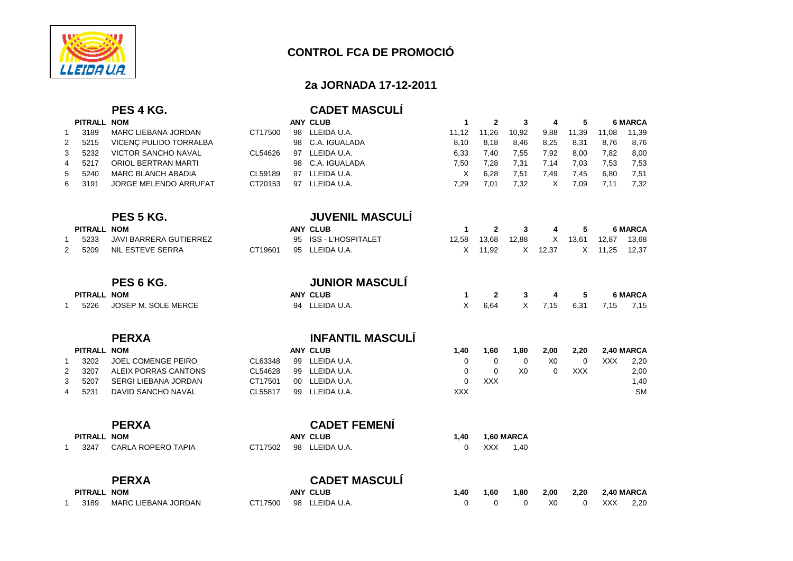

### **2a JORNADA 17-12-2011**

|                |                    | PES 4 KG.                     |         |    | <b>CADET MASCULI</b>      |              |              |                |                |            |       |                |
|----------------|--------------------|-------------------------------|---------|----|---------------------------|--------------|--------------|----------------|----------------|------------|-------|----------------|
|                | PITRALL NOM        |                               |         |    | <b>ANY CLUB</b>           | $\mathbf{1}$ | $\mathbf{2}$ | 3              | 4              | 5          |       | <b>6 MARCA</b> |
| $\mathbf{1}$   | 3189               | <b>MARC LIEBANA JORDAN</b>    | CT17500 | 98 | LLEIDA U.A.               | 11,12        | 11,26        | 10,92          | 9,88           | 11,39      | 11,08 | 11,39          |
| $\overline{2}$ | 5215               | VICENÇ PULIDO TORRALBA        |         | 98 | C.A. IGUALADA             | 8,10         | 8,18         | 8,46           | 8,25           | 8,31       | 8,76  | 8,76           |
| 3              | 5232               | <b>VICTOR SANCHO NAVAL</b>    | CL54626 | 97 | LLEIDA U.A.               | 6,33         | 7,40         | 7,55           | 7,92           | 8,00       | 7,82  | 8,00           |
| 4              | 5217               | <b>ORIOL BERTRAN MARTI</b>    |         | 98 | C.A. IGUALADA             | 7,50         | 7,28         | 7,31           | 7,14           | 7,03       | 7,53  | 7,53           |
| 5              | 5240               | <b>MARC BLANCH ABADIA</b>     | CL59189 | 97 | LLEIDA U.A.               | $\times$     | 6,28         | 7,51           | 7,49           | 7,45       | 6,80  | 7,51           |
| 6              | 3191               | JORGE MELENDO ARRUFAT         | CT20153 | 97 | LLEIDA U.A.               | 7,29         | 7,01         | 7,32           | X              | 7,09       | 7,11  | 7,32           |
|                |                    | PES 5 KG.                     |         |    | <b>JUVENIL MASCULÍ</b>    |              |              |                |                |            |       |                |
|                | <b>PITRALL NOM</b> |                               |         |    | <b>ANY CLUB</b>           | 1            | $\mathbf{2}$ | 3              | 4              | 5          |       | <b>6 MARCA</b> |
| $\mathbf{1}$   | 5233               | <b>JAVI BARRERA GUTIERREZ</b> |         | 95 | <b>ISS - L'HOSPITALET</b> | 12,58        | 13,68        | 12,88          | X              | 13,61      | 12,87 | 13,68          |
| 2              | 5209               | <b>NIL ESTEVE SERRA</b>       | CT19601 | 95 | LLEIDA U.A.               | X            | 11,92        | X              | 12,37          | X          | 11,25 | 12,37          |
|                |                    | PES 6 KG.                     |         |    | <b>JUNIOR MASCULI</b>     |              |              |                |                |            |       |                |
|                | <b>PITRALL NOM</b> |                               |         |    | <b>ANY CLUB</b>           | 1            | $\mathbf{2}$ | 3              | 4              | 5          |       | <b>6 MARCA</b> |
| $\mathbf{1}$   | 5226               | JOSEP M. SOLE MERCE           |         | 94 | LLEIDA U.A.               | X            | 6,64         | X              | 7,15           | 6,31       | 7,15  | 7,15           |
|                |                    | <b>PERXA</b>                  |         |    | <b>INFANTIL MASCULI</b>   |              |              |                |                |            |       |                |
|                | PITRALL NOM        |                               |         |    | <b>ANY CLUB</b>           | 1,40         | 1,60         | 1,80           | 2,00           | 2,20       |       | 2,40 MARCA     |
| $\mathbf{1}$   | 3202               | JOEL COMENGE PEIRO            | CL63348 | 99 | LLEIDA U.A.               | 0            | 0            | 0              | X <sub>0</sub> | 0          | XXX   | 2,20           |
| 2              | 3207               | ALEIX PORRAS CANTONS          | CL54628 |    | 99 LLEIDA U.A.            | 0            | 0            | X <sub>0</sub> | $\Omega$       | <b>XXX</b> |       | 2,00           |
| 3              | 5207               | <b>SERGI LIEBANA JORDAN</b>   | CT17501 |    | 00 LLEIDA U.A.            | $\mathbf 0$  | <b>XXX</b>   |                |                |            |       | 1,40           |
| 4              | 5231               | <b>DAVID SANCHO NAVAL</b>     | CL55817 | 99 | LLEIDA U.A.               | <b>XXX</b>   |              |                |                |            |       | <b>SM</b>      |
|                |                    | <b>PERXA</b>                  |         |    | <b>CADET FEMENÍ</b>       |              |              |                |                |            |       |                |
|                | <b>PITRALL NOM</b> |                               |         |    | <b>ANY CLUB</b>           | 1,40         |              | 1,60 MARCA     |                |            |       |                |
| $\mathbf 1$    | 3247               | <b>CARLA ROPERO TAPIA</b>     | CT17502 | 98 | LLEIDA U.A.               | 0            | <b>XXX</b>   | 1,40           |                |            |       |                |
|                |                    | <b>PERXA</b>                  |         |    | <b>CADET MASCULÍ</b>      |              |              |                |                |            |       |                |
|                | PITRALL NOM        |                               |         |    | <b>ANY CLUB</b>           | 1,40         | 1,60         | 1,80           | 2,00           | 2,20       |       | 2,40 MARCA     |
| $\mathbf{1}$   | 3189               | MARC LIEBANA JORDAN           | CT17500 | 98 | LLEIDA U.A.               | $\Omega$     | $\Omega$     | $\Omega$       | X <sub>0</sub> | 0          | XXX   | 2,20           |